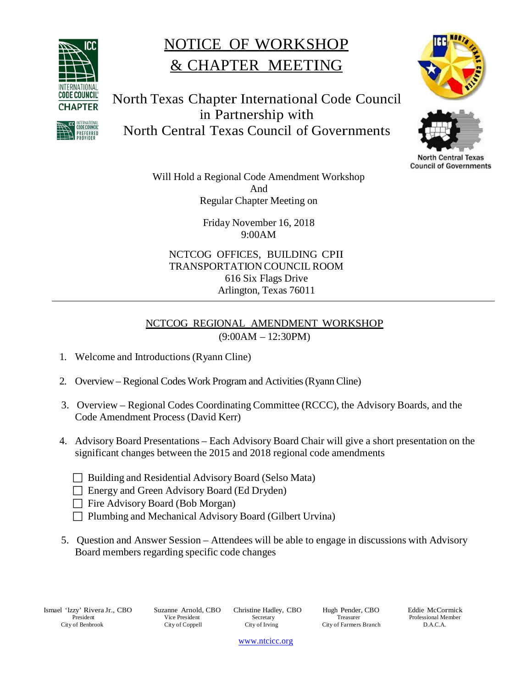

REFERRED

## NOTICE OF WORKSHOP & CHAPTER MEETING







**North Central Texas Council of Governments** 

Will Hold a Regional Code Amendment Workshop And Regular Chapter Meeting on

> Friday November 16, 2018 9:00AM

NCTCOG OFFICES, BUILDING CPII TRANSPORTATION COUNCIL ROOM 616 Six Flags Drive Arlington, Texas 76011

## NCTCOG REGIONAL AMENDMENT WORKSHOP (9:00AM – 12:30PM)

- 1. Welcome and Introductions (Ryann Cline)
- 2. Overview Regional Codes Work Program and Activities(Ryann Cline)
- 3. Overview Regional Codes Coordinating Committee (RCCC), the Advisory Boards, and the Code Amendment Process (David Kerr)
- 4. Advisory Board Presentations Each Advisory Board Chair will give a short presentation on the significant changes between the 2015 and 2018 regional code amendments
	- □ Building and Residential Advisory Board (Selso Mata)
	- Energy and Green Advisory Board (Ed Dryden)
	- $\Box$  Fire Advisory Board (Bob Morgan)
	- □ Plumbing and Mechanical Advisory Board (Gilbert Urvina)
- 5. Question and Answer Session Attendees will be able to engage in discussions with Advisory Board members regarding specific code changes

Ismael 'Izzy' Rivera Jr., CBO President City of Benbrook

Suzanne Arnold, CBO Vice President City of Coppell

Christine Hadley, CBO Secretary City of Irving

Hugh Pender, CBO Treasurer City of Farmers Branch

Eddie McCormick Professional Member D.A.C.A.

[www.ntcicc.org](http://www.ntcicc.org/)